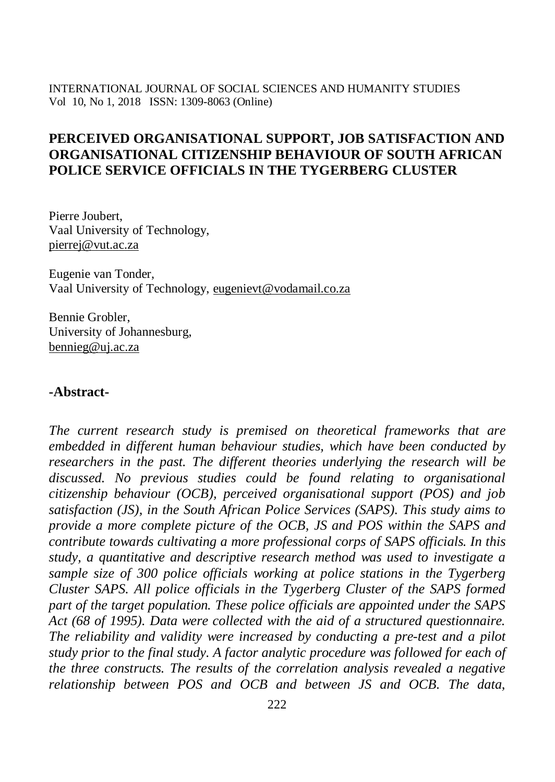# **PERCEIVED ORGANISATIONAL SUPPORT, JOB SATISFACTION AND ORGANISATIONAL CITIZENSHIP BEHAVIOUR OF SOUTH AFRICAN POLICE SERVICE OFFICIALS IN THE TYGERBERG CLUSTER**

Pierre Joubert, Vaal University of Technology, [pierrej@vut.ac.za](mailto:pierrej@vut.ac.za)

Eugenie van Tonder, Vaal University of Technology, [eugenievt@vodamail.co.za](mailto:eugenievt@vodamail.co.za)

Bennie Grobler, University of Johannesburg, [bennieg@uj.ac.za](mailto:bennieg@uj.ac.za)

### **-Abstract-**

*The current research study is premised on theoretical frameworks that are embedded in different human behaviour studies, which have been conducted by researchers in the past. The different theories underlying the research will be discussed. No previous studies could be found relating to organisational citizenship behaviour (OCB), perceived organisational support (POS) and job satisfaction (JS), in the South African Police Services (SAPS). This study aims to provide a more complete picture of the OCB, JS and POS within the SAPS and contribute towards cultivating a more professional corps of SAPS officials. In this study, a quantitative and descriptive research method was used to investigate a sample size of 300 police officials working at police stations in the Tygerberg Cluster SAPS. All police officials in the Tygerberg Cluster of the SAPS formed part of the target population. These police officials are appointed under the SAPS Act (68 of 1995). Data were collected with the aid of a structured questionnaire. The reliability and validity were increased by conducting a pre-test and a pilot study prior to the final study. A factor analytic procedure was followed for each of the three constructs. The results of the correlation analysis revealed a negative relationship between POS and OCB and between JS and OCB. The data,*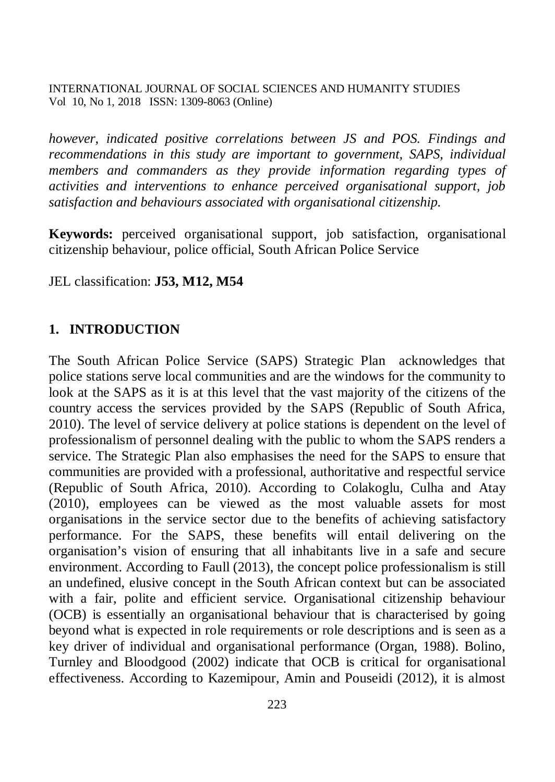*however, indicated positive correlations between JS and POS. Findings and recommendations in this study are important to government, SAPS, individual members and commanders as they provide information regarding types of activities and interventions to enhance perceived organisational support, job satisfaction and behaviours associated with organisational citizenship.*

**Keywords:** perceived organisational support, job satisfaction, organisational citizenship behaviour, police official, South African Police Service

JEL classification: **J53, M12, M54**

### **1. INTRODUCTION**

The South African Police Service (SAPS) Strategic Plan acknowledges that police stations serve local communities and are the windows for the community to look at the SAPS as it is at this level that the vast majority of the citizens of the country access the services provided by the SAPS (Republic of South Africa, 2010). The level of service delivery at police stations is dependent on the level of professionalism of personnel dealing with the public to whom the SAPS renders a service. The Strategic Plan also emphasises the need for the SAPS to ensure that communities are provided with a professional, authoritative and respectful service (Republic of South Africa, 2010). According to Colakoglu, Culha and Atay (2010), employees can be viewed as the most valuable assets for most organisations in the service sector due to the benefits of achieving satisfactory performance. For the SAPS, these benefits will entail delivering on the organisation's vision of ensuring that all inhabitants live in a safe and secure environment. According to Faull (2013), the concept police professionalism is still an undefined, elusive concept in the South African context but can be associated with a fair, polite and efficient service. Organisational citizenship behaviour (OCB) is essentially an organisational behaviour that is characterised by going beyond what is expected in role requirements or role descriptions and is seen as a key driver of individual and organisational performance (Organ, 1988). Bolino, Turnley and Bloodgood (2002) indicate that OCB is critical for organisational effectiveness. According to Kazemipour, Amin and Pouseidi (2012), it is almost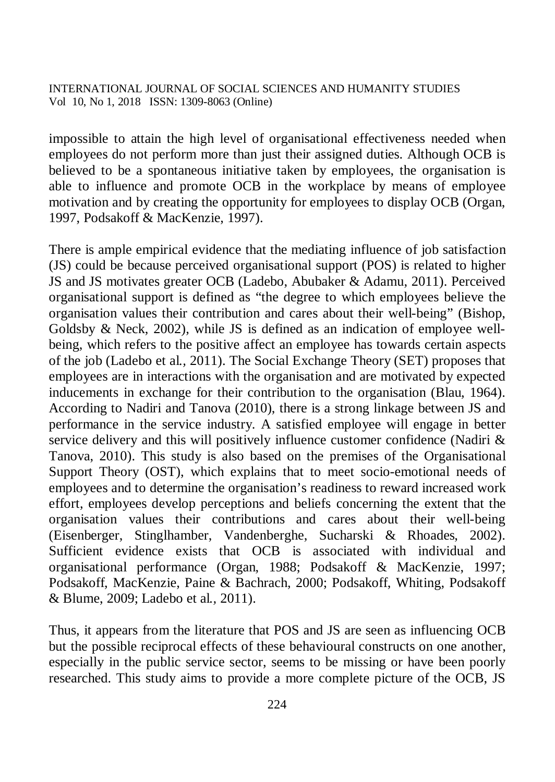impossible to attain the high level of organisational effectiveness needed when employees do not perform more than just their assigned duties. Although OCB is believed to be a spontaneous initiative taken by employees, the organisation is able to influence and promote OCB in the workplace by means of employee motivation and by creating the opportunity for employees to display OCB (Organ, 1997, Podsakoff & MacKenzie, 1997).

There is ample empirical evidence that the mediating influence of job satisfaction (JS) could be because perceived organisational support (POS) is related to higher JS and JS motivates greater OCB (Ladebo, Abubaker & Adamu, 2011). Perceived organisational support is defined as "the degree to which employees believe the organisation values their contribution and cares about their well-being" (Bishop, Goldsby & Neck, 2002), while JS is defined as an indication of employee wellbeing, which refers to the positive affect an employee has towards certain aspects of the job (Ladebo et al*.,* 2011). The Social Exchange Theory (SET) proposes that employees are in interactions with the organisation and are motivated by expected inducements in exchange for their contribution to the organisation (Blau, 1964). According to Nadiri and Tanova (2010), there is a strong linkage between JS and performance in the service industry. A satisfied employee will engage in better service delivery and this will positively influence customer confidence (Nadiri & Tanova, 2010). This study is also based on the premises of the Organisational Support Theory (OST), which explains that to meet socio-emotional needs of employees and to determine the organisation's readiness to reward increased work effort, employees develop perceptions and beliefs concerning the extent that the organisation values their contributions and cares about their well-being (Eisenberger, Stinglhamber, Vandenberghe, Sucharski & Rhoades, 2002). Sufficient evidence exists that OCB is associated with individual and organisational performance (Organ, 1988; Podsakoff & MacKenzie, 1997; Podsakoff, MacKenzie, Paine & Bachrach, 2000; Podsakoff, Whiting, Podsakoff & Blume, 2009; Ladebo et al*.,* 2011).

Thus, it appears from the literature that POS and JS are seen as influencing OCB but the possible reciprocal effects of these behavioural constructs on one another, especially in the public service sector, seems to be missing or have been poorly researched. This study aims to provide a more complete picture of the OCB, JS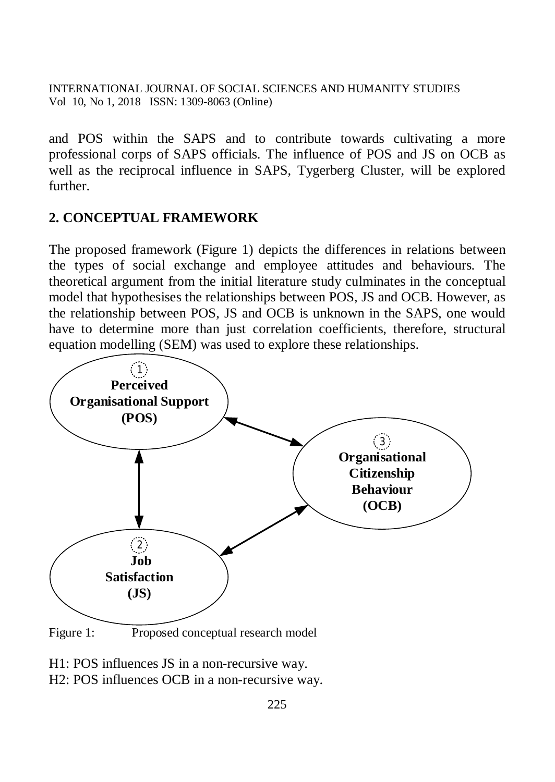and POS within the SAPS and to contribute towards cultivating a more professional corps of SAPS officials. The influence of POS and JS on OCB as well as the reciprocal influence in SAPS, Tygerberg Cluster, will be explored further.

### **2. CONCEPTUAL FRAMEWORK**

The proposed framework (Figure 1) depicts the differences in relations between the types of social exchange and employee attitudes and behaviours. The theoretical argument from the initial literature study culminates in the conceptual model that hypothesises the relationships between POS, JS and OCB. However, as the relationship between POS, JS and OCB is unknown in the SAPS, one would have to determine more than just correlation coefficients, therefore, structural equation modelling (SEM) was used to explore these relationships.



H1: POS influences JS in a non-recursive way.

H2: POS influences OCB in a non-recursive way.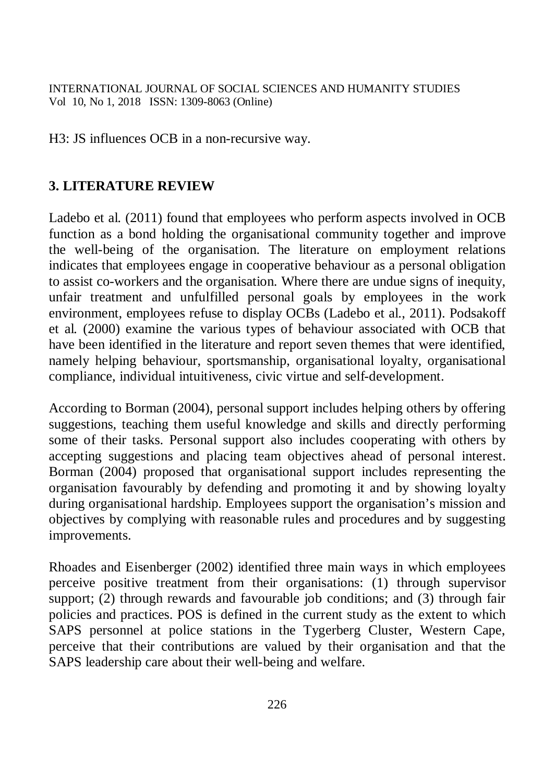H3: JS influences OCB in a non-recursive way.

# **3. LITERATURE REVIEW**

Ladebo et al*.* (2011) found that employees who perform aspects involved in OCB function as a bond holding the organisational community together and improve the well-being of the organisation. The literature on employment relations indicates that employees engage in cooperative behaviour as a personal obligation to assist co-workers and the organisation. Where there are undue signs of inequity, unfair treatment and unfulfilled personal goals by employees in the work environment, employees refuse to display OCBs (Ladebo et al., 2011). Podsakoff et al*.* (2000) examine the various types of behaviour associated with OCB that have been identified in the literature and report seven themes that were identified, namely helping behaviour, sportsmanship, organisational loyalty, organisational compliance, individual intuitiveness, civic virtue and self-development.

According to Borman (2004), personal support includes helping others by offering suggestions, teaching them useful knowledge and skills and directly performing some of their tasks. Personal support also includes cooperating with others by accepting suggestions and placing team objectives ahead of personal interest. Borman (2004) proposed that organisational support includes representing the organisation favourably by defending and promoting it and by showing loyalty during organisational hardship. Employees support the organisation's mission and objectives by complying with reasonable rules and procedures and by suggesting improvements.

Rhoades and Eisenberger (2002) identified three main ways in which employees perceive positive treatment from their organisations: (1) through supervisor support; (2) through rewards and favourable job conditions; and (3) through fair policies and practices. POS is defined in the current study as the extent to which SAPS personnel at police stations in the Tygerberg Cluster, Western Cape, perceive that their contributions are valued by their organisation and that the SAPS leadership care about their well-being and welfare.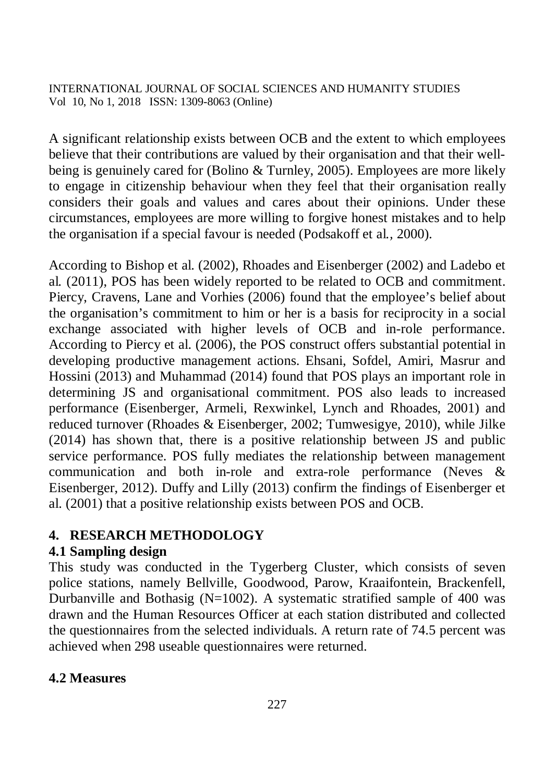A significant relationship exists between OCB and the extent to which employees believe that their contributions are valued by their organisation and that their wellbeing is genuinely cared for (Bolino & Turnley, 2005). Employees are more likely to engage in citizenship behaviour when they feel that their organisation really considers their goals and values and cares about their opinions. Under these circumstances, employees are more willing to forgive honest mistakes and to help the organisation if a special favour is needed (Podsakoff et al*.,* 2000).

According to Bishop et al. (2002), Rhoades and Eisenberger (2002) and Ladebo et al*.* (2011), POS has been widely reported to be related to OCB and commitment. Piercy, Cravens, Lane and Vorhies (2006) found that the employee's belief about the organisation's commitment to him or her is a basis for reciprocity in a social exchange associated with higher levels of OCB and in-role performance. According to Piercy et al. (2006), the POS construct offers substantial potential in developing productive management actions. Ehsani, Sofdel, Amiri, Masrur and Hossini (2013) and Muhammad (2014) found that POS plays an important role in determining JS and organisational commitment. POS also leads to increased performance (Eisenberger, Armeli, Rexwinkel, Lynch and Rhoades, 2001) and reduced turnover (Rhoades & Eisenberger, 2002; Tumwesigye, 2010), while Jilke (2014) has shown that, there is a positive relationship between JS and public service performance. POS fully mediates the relationship between management communication and both in-role and extra-role performance (Neves & Eisenberger, 2012). Duffy and Lilly (2013) confirm the findings of Eisenberger et al. (2001) that a positive relationship exists between POS and OCB.

# **4. RESEARCH METHODOLOGY**

# **4.1 Sampling design**

This study was conducted in the Tygerberg Cluster, which consists of seven police stations, namely Bellville, Goodwood, Parow, Kraaifontein, Brackenfell, Durbanville and Bothasig ( $N=1002$ ). A systematic stratified sample of 400 was drawn and the Human Resources Officer at each station distributed and collected the questionnaires from the selected individuals. A return rate of 74.5 percent was achieved when 298 useable questionnaires were returned.

# **4.2 Measures**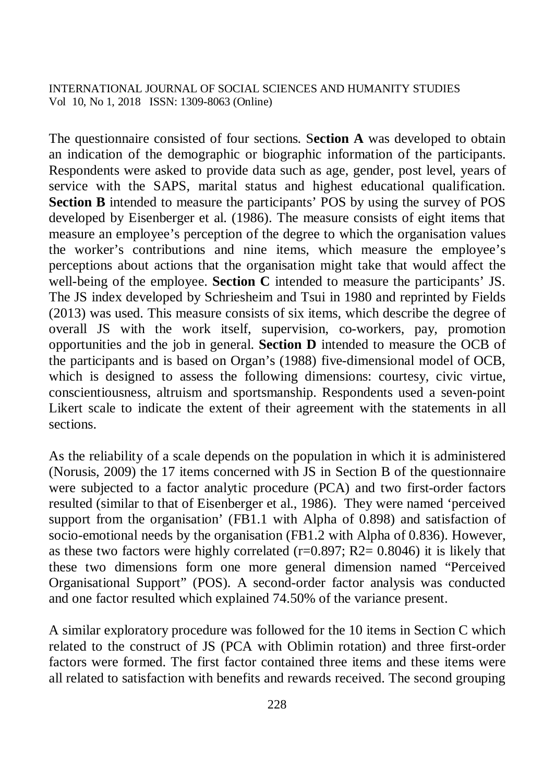The questionnaire consisted of four sections. S**ection A** was developed to obtain an indication of the demographic or biographic information of the participants. Respondents were asked to provide data such as age, gender, post level, years of service with the SAPS, marital status and highest educational qualification. **Section B** intended to measure the participants' POS by using the survey of POS developed by Eisenberger et al. (1986). The measure consists of eight items that measure an employee's perception of the degree to which the organisation values the worker's contributions and nine items, which measure the employee's perceptions about actions that the organisation might take that would affect the well-being of the employee. **Section C** intended to measure the participants' JS. The JS index developed by Schriesheim and Tsui in 1980 and reprinted by Fields (2013) was used. This measure consists of six items, which describe the degree of overall JS with the work itself, supervision, co-workers, pay, promotion opportunities and the job in general. **Section D** intended to measure the OCB of the participants and is based on Organ's (1988) five-dimensional model of OCB, which is designed to assess the following dimensions: courtesy, civic virtue, conscientiousness, altruism and sportsmanship. Respondents used a seven-point Likert scale to indicate the extent of their agreement with the statements in all sections.

As the reliability of a scale depends on the population in which it is administered (Norusis, 2009) the 17 items concerned with JS in Section B of the questionnaire were subjected to a factor analytic procedure (PCA) and two first-order factors resulted (similar to that of Eisenberger et al., 1986). They were named 'perceived support from the organisation' (FB1.1 with Alpha of 0.898) and satisfaction of socio-emotional needs by the organisation (FB1.2 with Alpha of 0.836). However, as these two factors were highly correlated  $(r=0.897; R2=0.8046)$  it is likely that these two dimensions form one more general dimension named "Perceived Organisational Support" (POS). A second-order factor analysis was conducted and one factor resulted which explained 74.50% of the variance present.

A similar exploratory procedure was followed for the 10 items in Section C which related to the construct of JS (PCA with Oblimin rotation) and three first-order factors were formed. The first factor contained three items and these items were all related to satisfaction with benefits and rewards received. The second grouping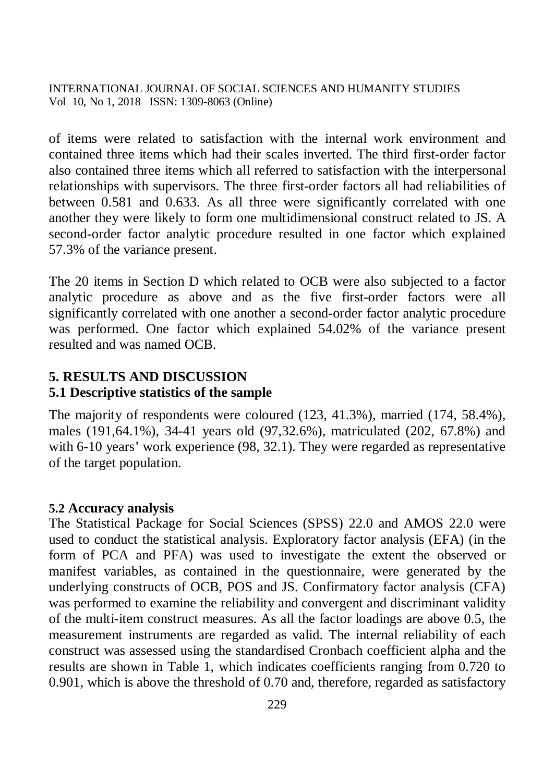of items were related to satisfaction with the internal work environment and contained three items which had their scales inverted. The third first-order factor also contained three items which all referred to satisfaction with the interpersonal relationships with supervisors. The three first-order factors all had reliabilities of between 0.581 and 0.633. As all three were significantly correlated with one another they were likely to form one multidimensional construct related to JS. A second-order factor analytic procedure resulted in one factor which explained 57.3% of the variance present.

The 20 items in Section D which related to OCB were also subjected to a factor analytic procedure as above and as the five first-order factors were all significantly correlated with one another a second-order factor analytic procedure was performed. One factor which explained 54.02% of the variance present resulted and was named OCB.

### **5. RESULTS AND DISCUSSION**

### **5.1 Descriptive statistics of the sample**

The majority of respondents were coloured (123, 41.3%), married (174, 58.4%), males (191,64.1%), 34-41 years old (97,32.6%), matriculated (202, 67.8%) and with 6-10 years' work experience (98, 32.1). They were regarded as representative of the target population.

#### **5.2 Accuracy analysis**

The Statistical Package for Social Sciences (SPSS) 22.0 and AMOS 22.0 were used to conduct the statistical analysis. Exploratory factor analysis (EFA) (in the form of PCA and PFA) was used to investigate the extent the observed or manifest variables, as contained in the questionnaire, were generated by the underlying constructs of OCB, POS and JS. Confirmatory factor analysis (CFA) was performed to examine the reliability and convergent and discriminant validity of the multi-item construct measures. As all the factor loadings are above 0.5, the measurement instruments are regarded as valid. The internal reliability of each construct was assessed using the standardised Cronbach coefficient alpha and the results are shown in Table 1, which indicates coefficients ranging from 0.720 to 0.901, which is above the threshold of 0.70 and, therefore, regarded as satisfactory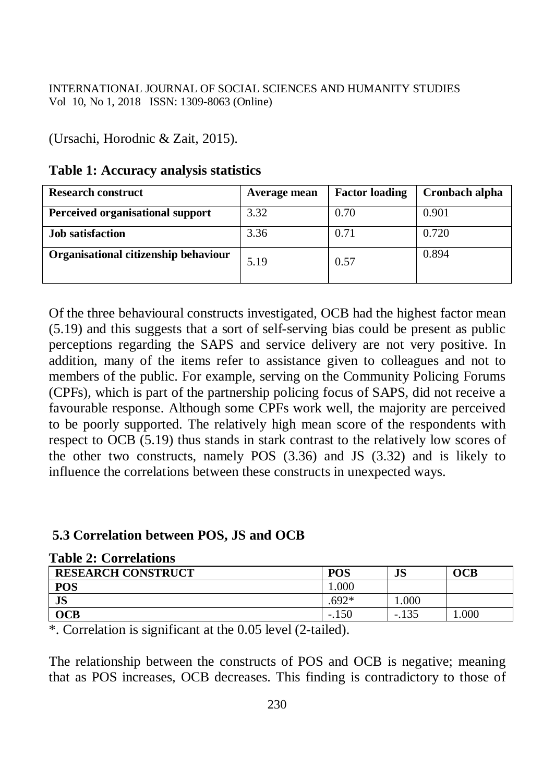### (Ursachi, Horodnic & Zait, 2015).

#### **Table 1: Accuracy analysis statistics**

| <b>Research construct</b>            | Average mean | <b>Factor loading</b> | Cronbach alpha |
|--------------------------------------|--------------|-----------------------|----------------|
| Perceived organisational support     | 3.32         | 0.70                  | 0.901          |
| <b>Job</b> satisfaction              | 3.36         | 0.71                  | 0.720          |
| Organisational citizenship behaviour | 5.19         | 0.57                  | 0.894          |

Of the three behavioural constructs investigated, OCB had the highest factor mean (5.19) and this suggests that a sort of self-serving bias could be present as public perceptions regarding the SAPS and service delivery are not very positive. In addition, many of the items refer to assistance given to colleagues and not to members of the public. For example, serving on the Community Policing Forums (CPFs), which is part of the partnership policing focus of SAPS, did not receive a favourable response. Although some CPFs work well, the majority are perceived to be poorly supported. The relatively high mean score of the respondents with respect to OCB (5.19) thus stands in stark contrast to the relatively low scores of the other two constructs, namely POS (3.36) and JS (3.32) and is likely to influence the correlations between these constructs in unexpected ways.

#### **5.3 Correlation between POS, JS and OCB**

| <b>Lavit 4. Cultuations</b> |            |         |      |
|-----------------------------|------------|---------|------|
| <b>RESEARCH CONSTRUCT</b>   | <b>POS</b> | JS      | OCB  |
| <b>POS</b>                  | .000       |         |      |
| <b>JS</b>                   | $.692*$    | .000.   |      |
| <b>OCB</b>                  | $-.150$    | $-.135$ | .000 |

#### **Table 2: Correlations**

\*. Correlation is significant at the 0.05 level (2-tailed).

The relationship between the constructs of POS and OCB is negative; meaning that as POS increases, OCB decreases. This finding is contradictory to those of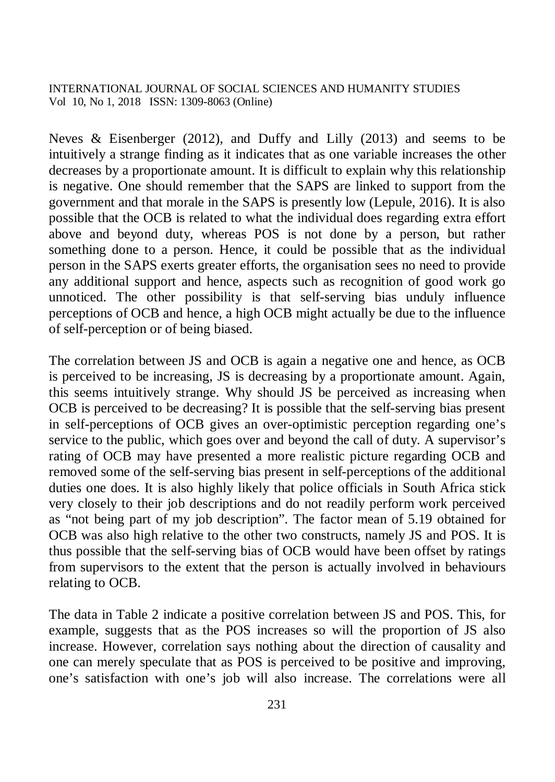Neves  $\&$  Eisenberger (2012), and Duffy and Lilly (2013) and seems to be intuitively a strange finding as it indicates that as one variable increases the other decreases by a proportionate amount. It is difficult to explain why this relationship is negative. One should remember that the SAPS are linked to support from the government and that morale in the SAPS is presently low (Lepule, 2016). It is also possible that the OCB is related to what the individual does regarding extra effort above and beyond duty, whereas POS is not done by a person, but rather something done to a person. Hence, it could be possible that as the individual person in the SAPS exerts greater efforts, the organisation sees no need to provide any additional support and hence, aspects such as recognition of good work go unnoticed. The other possibility is that self-serving bias unduly influence perceptions of OCB and hence, a high OCB might actually be due to the influence of self-perception or of being biased.

The correlation between JS and OCB is again a negative one and hence, as OCB is perceived to be increasing, JS is decreasing by a proportionate amount. Again, this seems intuitively strange. Why should JS be perceived as increasing when OCB is perceived to be decreasing? It is possible that the self-serving bias present in self-perceptions of OCB gives an over-optimistic perception regarding one's service to the public, which goes over and beyond the call of duty. A supervisor's rating of OCB may have presented a more realistic picture regarding OCB and removed some of the self-serving bias present in self-perceptions of the additional duties one does. It is also highly likely that police officials in South Africa stick very closely to their job descriptions and do not readily perform work perceived as "not being part of my job description". The factor mean of 5.19 obtained for OCB was also high relative to the other two constructs, namely JS and POS. It is thus possible that the self-serving bias of OCB would have been offset by ratings from supervisors to the extent that the person is actually involved in behaviours relating to OCB.

The data in Table 2 indicate a positive correlation between JS and POS. This, for example, suggests that as the POS increases so will the proportion of JS also increase. However, correlation says nothing about the direction of causality and one can merely speculate that as POS is perceived to be positive and improving, one's satisfaction with one's job will also increase. The correlations were all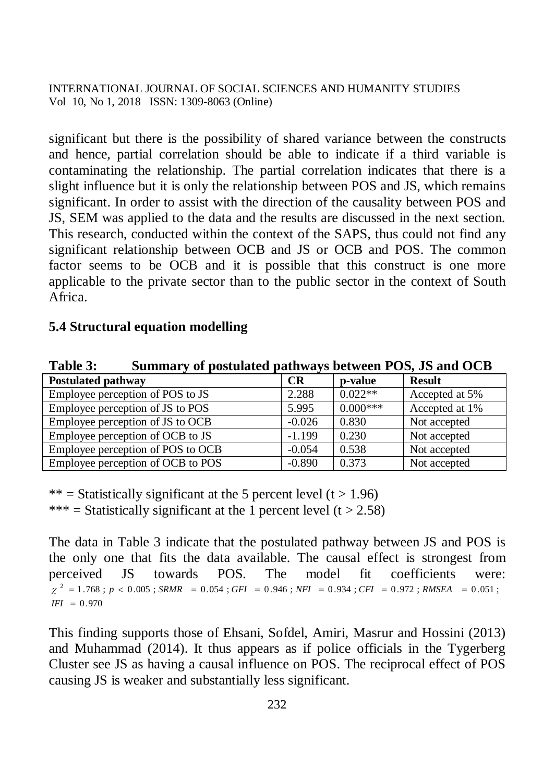significant but there is the possibility of shared variance between the constructs and hence, partial correlation should be able to indicate if a third variable is contaminating the relationship. The partial correlation indicates that there is a slight influence but it is only the relationship between POS and JS, which remains significant. In order to assist with the direction of the causality between POS and JS, SEM was applied to the data and the results are discussed in the next section. This research, conducted within the context of the SAPS, thus could not find any significant relationship between OCB and JS or OCB and POS. The common factor seems to be OCB and it is possible that this construct is one more applicable to the private sector than to the public sector in the context of South Africa.

### **5.4 Structural equation modelling**

| Tanic S.<br>Dunmary or postulated pathways between I Oby 8D and OCD |          |            |                |  |  |  |
|---------------------------------------------------------------------|----------|------------|----------------|--|--|--|
| <b>Postulated pathway</b>                                           | CR       | p-value    | <b>Result</b>  |  |  |  |
| Employee perception of POS to JS                                    | 2.288    | $0.022**$  | Accepted at 5% |  |  |  |
| Employee perception of JS to POS                                    | 5.995    | $0.000***$ | Accepted at 1% |  |  |  |
| Employee perception of JS to OCB                                    | $-0.026$ | 0.830      | Not accepted   |  |  |  |
| Employee perception of OCB to JS                                    | $-1.199$ | 0.230      | Not accepted   |  |  |  |
| Employee perception of POS to OCB                                   | $-0.054$ | 0.538      | Not accepted   |  |  |  |
| Employee perception of OCB to POS                                   | $-0.890$ | 0.373      | Not accepted   |  |  |  |

**Table 3: Summary of postulated pathways between POS, JS and OCB** 

\*\* = Statistically significant at the 5 percent level (t  $> 1.96$ ) \*\*\* = Statistically significant at the 1 percent level  $(t > 2.58)$ 

The data in Table 3 indicate that the postulated pathway between JS and POS is the only one that fits the data available. The causal effect is strongest from perceived JS towards POS. The model fit coefficients were: 0.970 *IFI*  $\chi^2 = 1.768$ ;  $p < 0.005$ ; SRMR = 0.054; GFI = 0.946; NFI = 0.934; CFI = 0.972; RMSEA = 0.051;

This finding supports those of Ehsani, Sofdel, Amiri, Masrur and Hossini (2013) and Muhammad (2014). It thus appears as if police officials in the Tygerberg Cluster see JS as having a causal influence on POS. The reciprocal effect of POS causing JS is weaker and substantially less significant.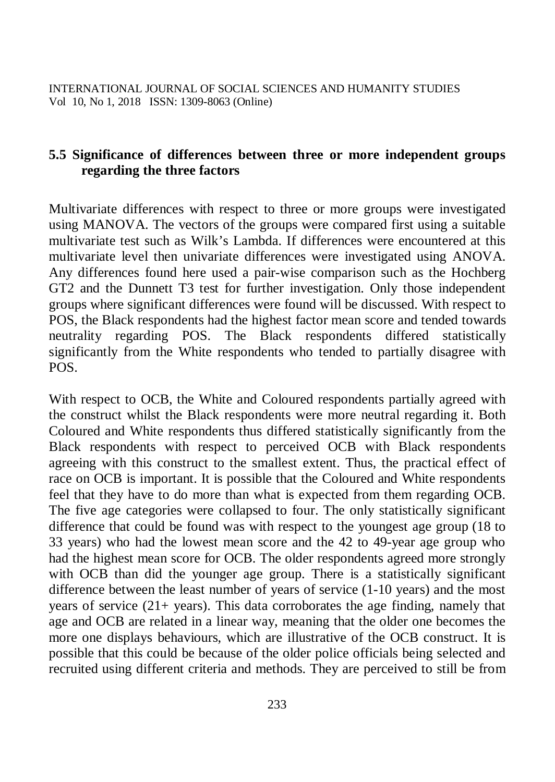# **5.5 Significance of differences between three or more independent groups regarding the three factors**

Multivariate differences with respect to three or more groups were investigated using MANOVA. The vectors of the groups were compared first using a suitable multivariate test such as Wilk's Lambda. If differences were encountered at this multivariate level then univariate differences were investigated using ANOVA. Any differences found here used a pair-wise comparison such as the Hochberg GT2 and the Dunnett T3 test for further investigation. Only those independent groups where significant differences were found will be discussed. With respect to POS, the Black respondents had the highest factor mean score and tended towards neutrality regarding POS. The Black respondents differed statistically significantly from the White respondents who tended to partially disagree with POS.

With respect to OCB, the White and Coloured respondents partially agreed with the construct whilst the Black respondents were more neutral regarding it. Both Coloured and White respondents thus differed statistically significantly from the Black respondents with respect to perceived OCB with Black respondents agreeing with this construct to the smallest extent. Thus, the practical effect of race on OCB is important. It is possible that the Coloured and White respondents feel that they have to do more than what is expected from them regarding OCB. The five age categories were collapsed to four. The only statistically significant difference that could be found was with respect to the youngest age group (18 to 33 years) who had the lowest mean score and the 42 to 49-year age group who had the highest mean score for OCB. The older respondents agreed more strongly with OCB than did the younger age group. There is a statistically significant difference between the least number of years of service (1-10 years) and the most years of service  $(21 + \text{years})$ . This data corroborates the age finding, namely that age and OCB are related in a linear way, meaning that the older one becomes the more one displays behaviours, which are illustrative of the OCB construct. It is possible that this could be because of the older police officials being selected and recruited using different criteria and methods. They are perceived to still be from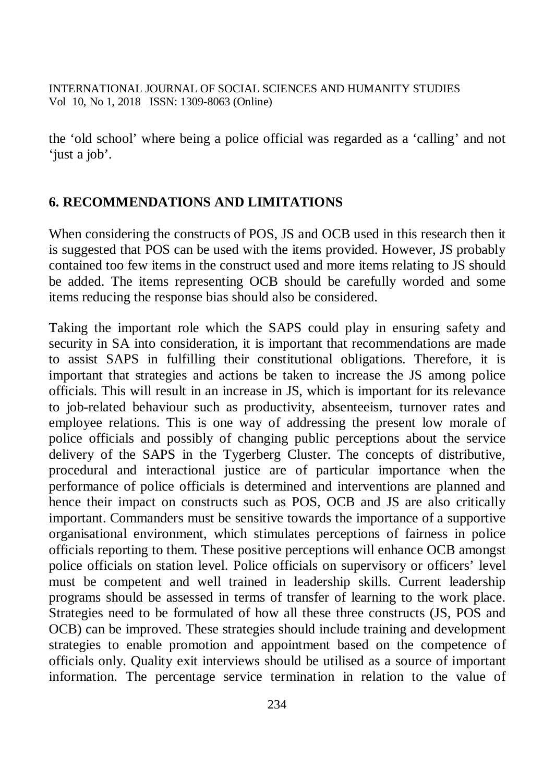the 'old school' where being a police official was regarded as a 'calling' and not 'just a job'.

### **6. RECOMMENDATIONS AND LIMITATIONS**

When considering the constructs of POS, JS and OCB used in this research then it is suggested that POS can be used with the items provided. However, JS probably contained too few items in the construct used and more items relating to JS should be added. The items representing OCB should be carefully worded and some items reducing the response bias should also be considered.

Taking the important role which the SAPS could play in ensuring safety and security in SA into consideration, it is important that recommendations are made to assist SAPS in fulfilling their constitutional obligations. Therefore, it is important that strategies and actions be taken to increase the JS among police officials. This will result in an increase in JS, which is important for its relevance to job-related behaviour such as productivity, absenteeism, turnover rates and employee relations. This is one way of addressing the present low morale of police officials and possibly of changing public perceptions about the service delivery of the SAPS in the Tygerberg Cluster. The concepts of distributive, procedural and interactional justice are of particular importance when the performance of police officials is determined and interventions are planned and hence their impact on constructs such as POS, OCB and JS are also critically important. Commanders must be sensitive towards the importance of a supportive organisational environment, which stimulates perceptions of fairness in police officials reporting to them. These positive perceptions will enhance OCB amongst police officials on station level. Police officials on supervisory or officers' level must be competent and well trained in leadership skills. Current leadership programs should be assessed in terms of transfer of learning to the work place. Strategies need to be formulated of how all these three constructs (JS, POS and OCB) can be improved. These strategies should include training and development strategies to enable promotion and appointment based on the competence of officials only. Quality exit interviews should be utilised as a source of important information. The percentage service termination in relation to the value of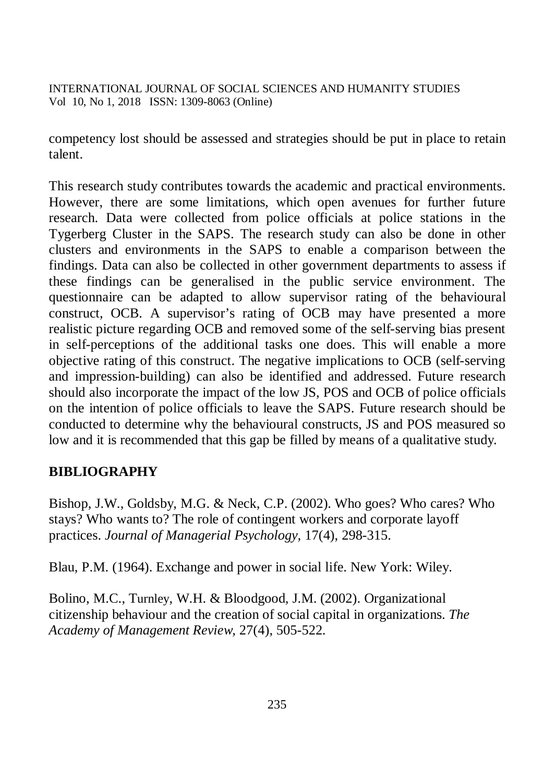competency lost should be assessed and strategies should be put in place to retain talent.

This research study contributes towards the academic and practical environments. However, there are some limitations, which open avenues for further future research. Data were collected from police officials at police stations in the Tygerberg Cluster in the SAPS. The research study can also be done in other clusters and environments in the SAPS to enable a comparison between the findings. Data can also be collected in other government departments to assess if these findings can be generalised in the public service environment. The questionnaire can be adapted to allow supervisor rating of the behavioural construct, OCB. A supervisor's rating of OCB may have presented a more realistic picture regarding OCB and removed some of the self-serving bias present in self-perceptions of the additional tasks one does. This will enable a more objective rating of this construct. The negative implications to OCB (self-serving and impression-building) can also be identified and addressed. Future research should also incorporate the impact of the low JS, POS and OCB of police officials on the intention of police officials to leave the SAPS. Future research should be conducted to determine why the behavioural constructs, JS and POS measured so low and it is recommended that this gap be filled by means of a qualitative study.

# **BIBLIOGRAPHY**

Bishop, J.W., Goldsby, M.G. & Neck, C.P. (2002). Who goes? Who cares? Who stays? Who wants to? The role of contingent workers and corporate layoff practices. *Journal of Managerial Psychology,* 17(4), 298-315.

Blau, P.M. (1964). Exchange and power in social life. New York: Wiley.

Bolino, M.C., Turnley, W.H. & Bloodgood, J.M. (2002). Organizational citizenship behaviour and the creation of social capital in organizations. *The Academy of Management Review,* 27(4), 505-522.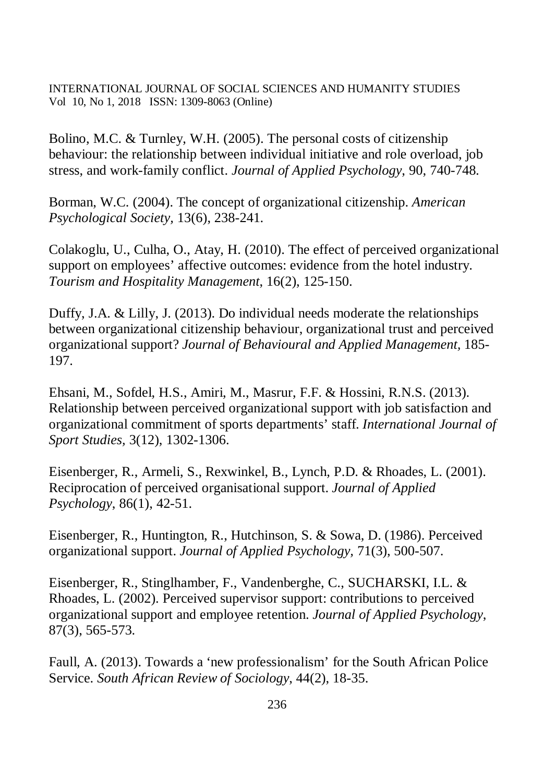Bolino, M.C. & Turnley, W.H. (2005). The personal costs of citizenship behaviour: the relationship between individual initiative and role overload, job stress, and work-family conflict. *Journal of Applied Psychology*, 90, 740-748.

Borman, W.C. (2004). The concept of organizational citizenship. *American Psychological Society,* 13(6), 238-241.

Colakoglu, U., Culha, O., Atay, H. (2010). The effect of perceived organizational support on employees' affective outcomes: evidence from the hotel industry. *Tourism and Hospitality Management*, 16(2), 125-150.

Duffy, J.A. & Lilly, J. (2013). Do individual needs moderate the relationships between organizational citizenship behaviour, organizational trust and perceived organizational support? *Journal of Behavioural and Applied Management,* 185- 197.

Ehsani, M., Sofdel, H.S., Amiri, M., Masrur, F.F. & Hossini, R.N.S. (2013). Relationship between perceived organizational support with job satisfaction and organizational commitment of sports departments' staff. *International Journal of Sport Studies,* 3(12), 1302-1306.

Eisenberger, R., Armeli, S., Rexwinkel, B., Lynch, P.D. & Rhoades, L. (2001). Reciprocation of perceived organisational support. *Journal of Applied Psychology*, 86(1), 42-51.

Eisenberger, R., Huntington, R., Hutchinson, S. & Sowa, D. (1986). Perceived organizational support. *Journal of Applied Psychology,* 71(3), 500-507.

Eisenberger, R., Stinglhamber, F., Vandenberghe, C., SUCHARSKI, I.L. & Rhoades, L. (2002). Perceived supervisor support: contributions to perceived organizational support and employee retention. *Journal of Applied Psychology*, 87(3), 565-573.

Faull, A. (2013). Towards a 'new professionalism' for the South African Police Service. *South African Review of Sociology*, 44(2), 18-35.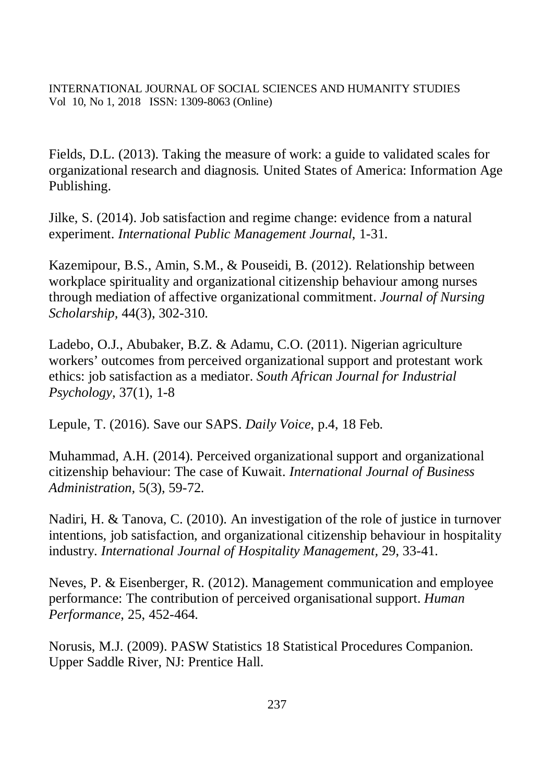Fields, D.L. (2013). Taking the measure of work: a guide to validated scales for organizational research and diagnosis*.* United States of America: Information Age Publishing.

Jilke, S. (2014). Job satisfaction and regime change: evidence from a natural experiment. *International Public Management Journal*, 1-31.

Kazemipour, B.S., Amin, S.M., & Pouseidi, B. (2012). Relationship between workplace spirituality and organizational citizenship behaviour among nurses through mediation of affective organizational commitment. *Journal of Nursing Scholarship,* 44(3), 302-310.

Ladebo, O.J., Abubaker, B.Z. & Adamu, C.O. (2011). Nigerian agriculture workers' outcomes from perceived organizational support and protestant work ethics: job satisfaction as a mediator. *South African Journal for Industrial Psychology,* 37(1), 1-8

Lepule, T. (2016). Save our SAPS. *Daily Voice*, p.4, 18 Feb.

Muhammad, A.H. (2014). Perceived organizational support and organizational citizenship behaviour: The case of Kuwait. *International Journal of Business Administration,* 5(3), 59-72.

Nadiri, H. & Tanova, C. (2010). An investigation of the role of justice in turnover intentions, job satisfaction, and organizational citizenship behaviour in hospitality industry. *International Journal of Hospitality Management,* 29, 33-41.

Neves, P. & Eisenberger, R. (2012). Management communication and employee performance: The contribution of perceived organisational support. *Human Performance*, 25, 452-464.

Norusis, M.J. (2009). PASW Statistics 18 Statistical Procedures Companion. Upper Saddle River, NJ: Prentice Hall.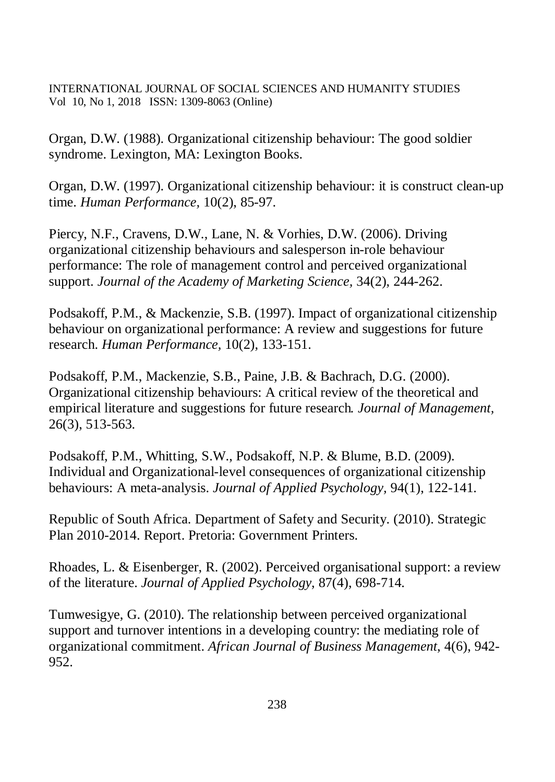Organ, D.W. (1988). Organizational citizenship behaviour: The good soldier syndrome. Lexington, MA: Lexington Books.

Organ, D.W. (1997). Organizational citizenship behaviour: it is construct clean-up time. *Human Performance,* 10(2), 85-97.

Piercy, N.F., Cravens, D.W., Lane, N. & Vorhies, D.W. (2006). Driving organizational citizenship behaviours and salesperson in-role behaviour performance: The role of management control and perceived organizational support. *Journal of the Academy of Marketing Science,* 34(2), 244-262.

Podsakoff, P.M., & Mackenzie, S.B. (1997). Impact of organizational citizenship behaviour on organizational performance: A review and suggestions for future research. *Human Performance,* 10(2), 133-151.

Podsakoff, P.M., Mackenzie, S.B., Paine, J.B. & Bachrach, D.G. (2000). Organizational citizenship behaviours: A critical review of the theoretical and empirical literature and suggestions for future research*. Journal of Management,*  26(3), 513-563.

Podsakoff, P.M., Whitting, S.W., Podsakoff, N.P. & Blume, B.D. (2009). Individual and Organizational-level consequences of organizational citizenship behaviours: A meta-analysis. *Journal of Applied Psychology,* 94(1), 122-141.

Republic of South Africa. Department of Safety and Security. (2010). Strategic Plan 2010-2014. Report. Pretoria: Government Printers.

Rhoades, L. & Eisenberger, R. (2002). Perceived organisational support: a review of the literature. *Journal of Applied Psychology*, 87(4), 698-714.

Tumwesigye, G. (2010). The relationship between perceived organizational support and turnover intentions in a developing country: the mediating role of organizational commitment. *African Journal of Business Management*, 4(6), 942- 952.